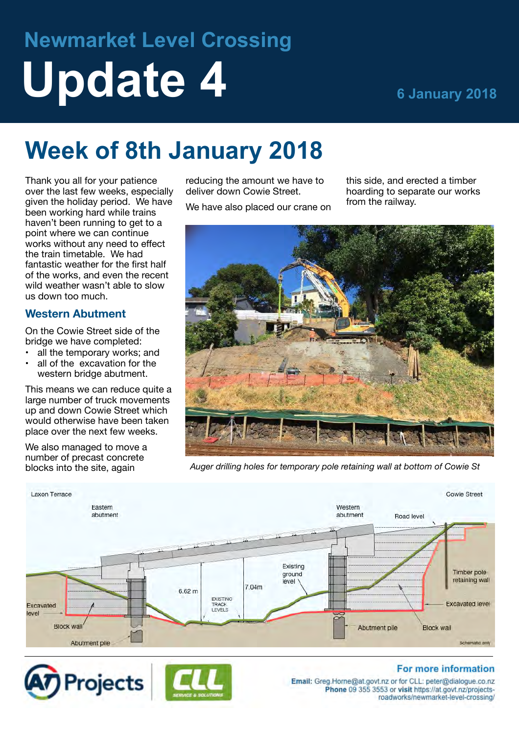# **Newmarket Level Crossing Update 4 6 January 2018**

## **Week of 8th January 2018**

Thank you all for your patience over the last few weeks, especially given the holiday period. We have been working hard while trains haven't been running to get to a point where we can continue works without any need to effect the train timetable. We had fantastic weather for the first half of the works, and even the recent wild weather wasn't able to slow us down too much.

#### **Western Abutment**

On the Cowie Street side of the bridge we have completed:

- all the temporary works; and
- all of the excavation for the western bridge abutment.

This means we can reduce quite a large number of truck movements up and down Cowie Street which would otherwise have been taken place over the next few weeks.

We also managed to move a number of precast concrete blocks into the site, again

reducing the amount we have to deliver down Cowie Street.

We have also placed our crane on

this side, and erected a timber hoarding to separate our works from the railway.



*Auger drilling holes for temporary pole retaining wall at bottom of Cowie St*







#### For more information

Email: Greg.Horne@at.govt.nz or for CLL: peter@dialogue.co.nz Phone 09 355 3553 or visit https://at.govt.nz/projectsroadworks/newmarket-level-crossing/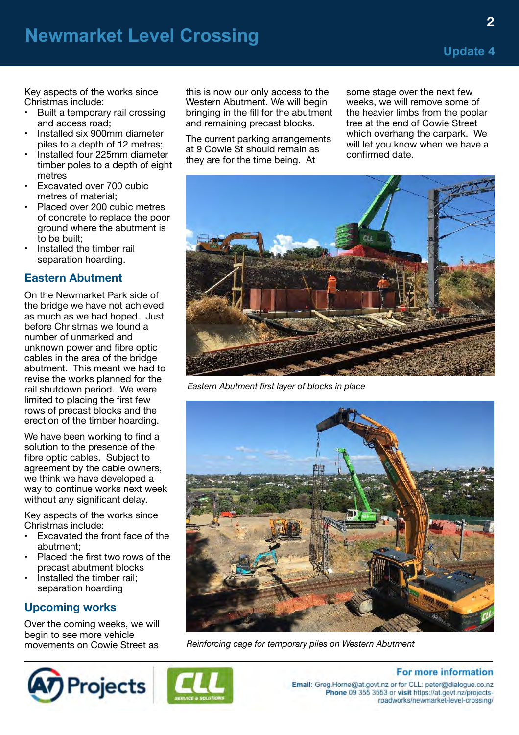**2**

Key aspects of the works since Christmas include:

- Built a temporary rail crossing and access road;
- Installed six 900mm diameter piles to a depth of 12 metres;
- Installed four 225mm diameter timber poles to a depth of eight metres
- Excavated over 700 cubic metres of material;
- Placed over 200 cubic metres of concrete to replace the poor ground where the abutment is to be built;
- Installed the timber rail separation hoarding.

#### **Eastern Abutment**

On the Newmarket Park side of the bridge we have not achieved as much as we had hoped. Just before Christmas we found a number of unmarked and unknown power and fibre optic cables in the area of the bridge abutment. This meant we had to revise the works planned for the rail shutdown period. We were limited to placing the first few rows of precast blocks and the erection of the timber hoarding.

We have been working to find a solution to the presence of the fibre optic cables. Subject to agreement by the cable owners, we think we have developed a way to continue works next week without any significant delay.

Key aspects of the works since Christmas include:

- Excavated the front face of the abutment;
- Placed the first two rows of the precast abutment blocks
- Installed the timber rail; separation hoarding

#### **Upcoming works**

Over the coming weeks, we will begin to see more vehicle movements on Cowie Street as

this is now our only access to the Western Abutment. We will begin bringing in the fill for the abutment and remaining precast blocks.

The current parking arrangements at 9 Cowie St should remain as they are for the time being. At

some stage over the next few weeks, we will remove some of the heavier limbs from the poplar tree at the end of Cowie Street which overhang the carpark. We will let you know when we have a confirmed date.



*Eastern Abutment first layer of blocks in place*



*Reinforcing cage for temporary piles on Western Abutment*





**For more information** Email: Greg.Horne@at.govt.nz or for CLL: peter@dialogue.co.nz Phone 09 355 3553 or visit https://at.govt.nz/projectsroadworks/newmarket-level-crossing/